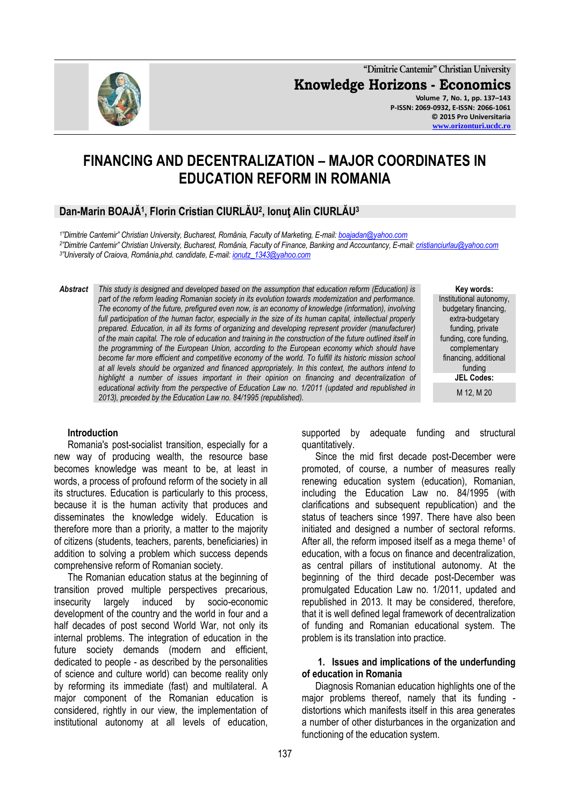

**"Dimitrie Cantemir" Christian University Knowledge Horizons - Economics Volume 7, No. 1, pp. 137–143 P-ISSN: 2069-0932, E-ISSN: 2066-1061 © 2015 Pro Universitaria**

**[www.orizonturi.ucdc.ro](http://www.orizonturi.ucdc.ro/)**

# **FINANCING AND DECENTRALIZATION – MAJOR COORDINATES IN EDUCATION REFORM IN ROMANIA**

# **Dan-Marin BOAJĂ<sup>1</sup> , Florin Cristian CIURLĂU<sup>2</sup> , Ionuţ Alin CIURLĂU<sup>3</sup>**

*1 "Dimitrie Cantemir" Christian University, Bucharest, România, Faculty of Marketing, E-mail: [boajadan@yahoo.com](mailto:boajadan@yahoo.com) 2 "Dimitrie Cantemir" Christian University, Bucharest, România, Faculty of Finance, Banking and Accountancy, E-mail[: cristianciurlau@yahoo.com](mailto:cristianciurlau@yahoo.com)*

*3 "University of Craiova, România,phd. candidate, E-mail: [ionutz\\_1343@yahoo.com](mailto:ionutz_1343@yahoo.com)*

*Abstract This study is designed and developed based on the assumption that education reform (Education) is part of the reform leading Romanian society in its evolution towards modernization and performance. The economy of the future, prefigured even now, is an economy of knowledge (information), involving full participation of the human factor, especially in the size of its human capital, intellectual properly prepared. Education, in all its forms of organizing and developing represent provider (manufacturer) of the main capital. The role of education and training in the construction of the future outlined itself in the programming of the European Union, according to the European economy which should have become far more efficient and competitive economy of the world. To fulfill its historic mission school at all levels should be organized and financed appropriately. In this context, the authors intend to*  highlight a number of issues important in their opinion on financing and decentralization of *educational activity from the perspective of Education Law no. 1/2011 (updated and republished in 2013), preceded by the Education Law no. 84/1995 (republished).*

**Key words:** Institutional autonomy, budgetary financing, extra-budgetary funding, private funding, core funding, complementary financing, additional funding **JEL Codes:** M 12, M 20

#### **Introduction**

Romania's post-socialist transition, especially for a new way of producing wealth, the resource base becomes knowledge was meant to be, at least in words, a process of profound reform of the society in all its structures. Education is particularly to this process, because it is the human activity that produces and disseminates the knowledge widely. Education is therefore more than a priority, a matter to the majority of citizens (students, teachers, parents, beneficiaries) in addition to solving a problem which success depends comprehensive reform of Romanian society.

The Romanian education status at the beginning of transition proved multiple perspectives precarious, insecurity largely induced by socio-economic development of the country and the world in four and a half decades of post second World War, not only its internal problems. The integration of education in the future society demands (modern and efficient, dedicated to people - as described by the personalities of science and culture world) can become reality only by reforming its immediate (fast) and multilateral. A major component of the Romanian education is considered, rightly in our view, the implementation of institutional autonomy at all levels of education,

supported by adequate funding and structural quantitatively.

Since the mid first decade post-December were promoted, of course, a number of measures really renewing education system (education), Romanian, including the Education Law no. 84/1995 (with clarifications and subsequent republication) and the status of teachers since 1997. There have also been initiated and designed a number of sectoral reforms. After all, the reform imposed itself as a mega theme<sup>1</sup> of education, with a focus on finance and decentralization, as central pillars of institutional autonomy. At the beginning of the third decade post-December was promulgated Education Law no. 1/2011, updated and republished in 2013. It may be considered, therefore, that it is well defined legal framework of decentralization of funding and Romanian educational system. The problem is its translation into practice.

#### **1. Issues and implications of the underfunding of education in Romania**

Diagnosis Romanian education highlights one of the major problems thereof, namely that its funding distortions which manifests itself in this area generates a number of other disturbances in the organization and functioning of the education system.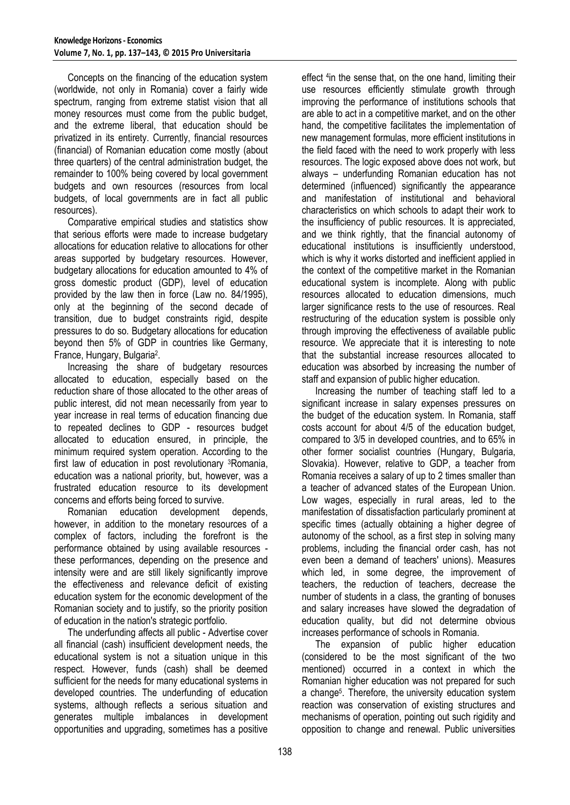Concepts on the financing of the education system (worldwide, not only in Romania) cover a fairly wide spectrum, ranging from extreme statist vision that all money resources must come from the public budget, and the extreme liberal, that education should be privatized in its entirety. Currently, financial resources (financial) of Romanian education come mostly (about three quarters) of the central administration budget, the remainder to 100% being covered by local government budgets and own resources (resources from local budgets, of local governments are in fact all public resources).

Comparative empirical studies and statistics show that serious efforts were made to increase budgetary allocations for education relative to allocations for other areas supported by budgetary resources. However, budgetary allocations for education amounted to 4% of gross domestic product (GDP), level of education provided by the law then in force (Law no. 84/1995), only at the beginning of the second decade of transition, due to budget constraints rigid, despite pressures to do so. Budgetary allocations for education beyond then 5% of GDP in countries like Germany, France, Hungary, Bulgaria<sup>2</sup>.

Increasing the share of budgetary resources allocated to education, especially based on the reduction share of those allocated to the other areas of public interest, did not mean necessarily from year to year increase in real terms of education financing due to repeated declines to GDP - resources budget allocated to education ensured, in principle, the minimum required system operation. According to the first law of education in post revolutionary 3Romania, education was a national priority, but, however, was a frustrated education resource to its development concerns and efforts being forced to survive.

Romanian education development depends, however, in addition to the monetary resources of a complex of factors, including the forefront is the performance obtained by using available resources these performances, depending on the presence and intensity were and are still likely significantly improve the effectiveness and relevance deficit of existing education system for the economic development of the Romanian society and to justify, so the priority position of education in the nation's strategic portfolio.

The underfunding affects all public - Advertise cover all financial (cash) insufficient development needs, the educational system is not a situation unique in this respect. However, funds (cash) shall be deemed sufficient for the needs for many educational systems in developed countries. The underfunding of education systems, although reflects a serious situation and generates multiple imbalances in development opportunities and upgrading, sometimes has a positive

effect <sup>4</sup> in the sense that, on the one hand, limiting their use resources efficiently stimulate growth through improving the performance of institutions schools that are able to act in a competitive market, and on the other hand, the competitive facilitates the implementation of new management formulas, more efficient institutions in the field faced with the need to work properly with less resources. The logic exposed above does not work, but always – underfunding Romanian education has not determined (influenced) significantly the appearance and manifestation of institutional and behavioral characteristics on which schools to adapt their work to the insufficiency of public resources. It is appreciated, and we think rightly, that the financial autonomy of educational institutions is insufficiently understood, which is why it works distorted and inefficient applied in the context of the competitive market in the Romanian educational system is incomplete. Along with public resources allocated to education dimensions, much larger significance rests to the use of resources. Real restructuring of the education system is possible only through improving the effectiveness of available public resource. We appreciate that it is interesting to note that the substantial increase resources allocated to education was absorbed by increasing the number of staff and expansion of public higher education.

Increasing the number of teaching staff led to a significant increase in salary expenses pressures on the budget of the education system. In Romania, staff costs account for about 4/5 of the education budget, compared to 3/5 in developed countries, and to 65% in other former socialist countries (Hungary, Bulgaria, Slovakia). However, relative to GDP, a teacher from Romania receives a salary of up to 2 times smaller than a teacher of advanced states of the European Union. Low wages, especially in rural areas, led to the manifestation of dissatisfaction particularly prominent at specific times (actually obtaining a higher degree of autonomy of the school, as a first step in solving many problems, including the financial order cash, has not even been a demand of teachers' unions). Measures which led, in some degree, the improvement of teachers, the reduction of teachers, decrease the number of students in a class, the granting of bonuses and salary increases have slowed the degradation of education quality, but did not determine obvious increases performance of schools in Romania.

The expansion of public higher education (considered to be the most significant of the two mentioned) occurred in a context in which the Romanian higher education was not prepared for such a change<sup>5</sup>. Therefore, the university education system reaction was conservation of existing structures and mechanisms of operation, pointing out such rigidity and opposition to change and renewal. Public universities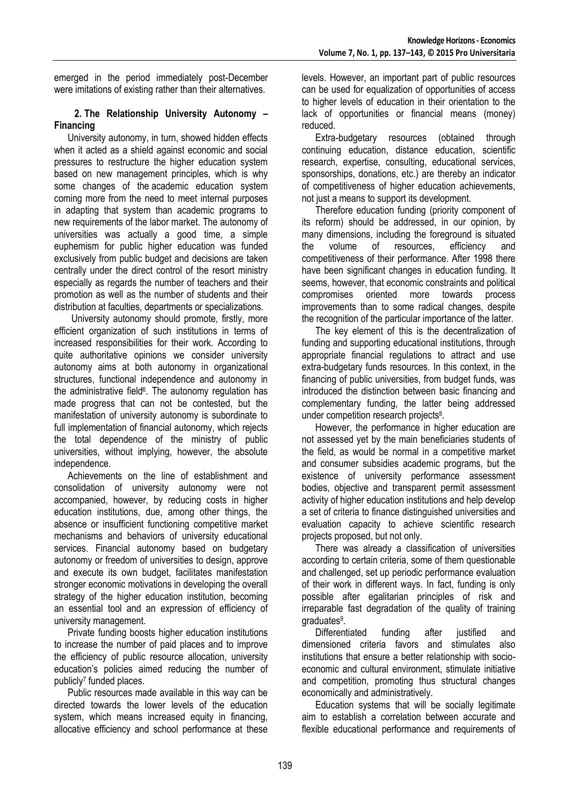emerged in the period immediately post-December were imitations of existing rather than their alternatives.

#### **2. The Relationship University Autonomy – Financing**

University autonomy, in turn, showed hidden effects when it acted as a shield against economic and social pressures to restructure the higher education system based on new management principles, which is why some changes of the academic education system coming more from the need to meet internal purposes in adapting that system than academic programs to new requirements of the labor market. The autonomy of universities was actually a good time, a simple euphemism for public higher education was funded exclusively from public budget and decisions are taken centrally under the direct control of the resort ministry especially as regards the number of teachers and their promotion as well as the number of students and their distribution at faculties, departments or specializations.

University autonomy should promote, firstly, more efficient organization of such institutions in terms of increased responsibilities for their work. According to quite authoritative opinions we consider university autonomy aims at both autonomy in organizational structures, functional independence and autonomy in the administrative field<sup>6</sup>. The autonomy regulation has made progress that can not be contested, but the manifestation of university autonomy is subordinate to full implementation of financial autonomy, which rejects the total dependence of the ministry of public universities, without implying, however, the absolute independence.

Achievements on the line of establishment and consolidation of university autonomy were not accompanied, however, by reducing costs in higher education institutions, due, among other things, the absence or insufficient functioning competitive market mechanisms and behaviors of university educational services. Financial autonomy based on budgetary autonomy or freedom of universities to design, approve and execute its own budget, facilitates manifestation stronger economic motivations in developing the overall strategy of the higher education institution, becoming an essential tool and an expression of efficiency of university management.

Private funding boosts higher education institutions to increase the number of paid places and to improve the efficiency of public resource allocation, university education's policies aimed reducing the number of publicly<sup>7</sup> funded places.

Public resources made available in this way can be directed towards the lower levels of the education system, which means increased equity in financing, allocative efficiency and school performance at these

levels. However, an important part of public resources can be used for equalization of opportunities of access to higher levels of education in their orientation to the lack of opportunities or financial means (money) reduced.

Extra-budgetary resources (obtained through continuing education, distance education, scientific research, expertise, consulting, educational services, sponsorships, donations, etc.) are thereby an indicator of competitiveness of higher education achievements, not just a means to support its development.

Therefore education funding (priority component of its reform) should be addressed, in our opinion, by many dimensions, including the foreground is situated the volume of resources, efficiency and competitiveness of their performance. After 1998 there have been significant changes in education funding. It seems, however, that economic constraints and political compromises oriented more towards process improvements than to some radical changes, despite the recognition of the particular importance of the latter.

The key element of this is the decentralization of funding and supporting educational institutions, through appropriate financial regulations to attract and use extra-budgetary funds resources. In this context, in the financing of public universities, from budget funds, was introduced the distinction between basic financing and complementary funding, the latter being addressed under competition research projects<sup>8</sup>.

However, the performance in higher education are not assessed yet by the main beneficiaries students of the field, as would be normal in a competitive market and consumer subsidies academic programs, but the existence of university performance assessment bodies, objective and transparent permit assessment activity of higher education institutions and help develop a set of criteria to finance distinguished universities and evaluation capacity to achieve scientific research projects proposed, but not only.

There was already a classification of universities according to certain criteria, some of them questionable and challenged, set up periodic performance evaluation of their work in different ways. In fact, funding is only possible after egalitarian principles of risk and irreparable fast degradation of the quality of training graduates<sup>9</sup>.

Differentiated funding after justified and dimensioned criteria favors and stimulates also institutions that ensure a better relationship with socioeconomic and cultural environment, stimulate initiative and competition, promoting thus structural changes economically and administratively.

Education systems that will be socially legitimate aim to establish a correlation between accurate and flexible educational performance and requirements of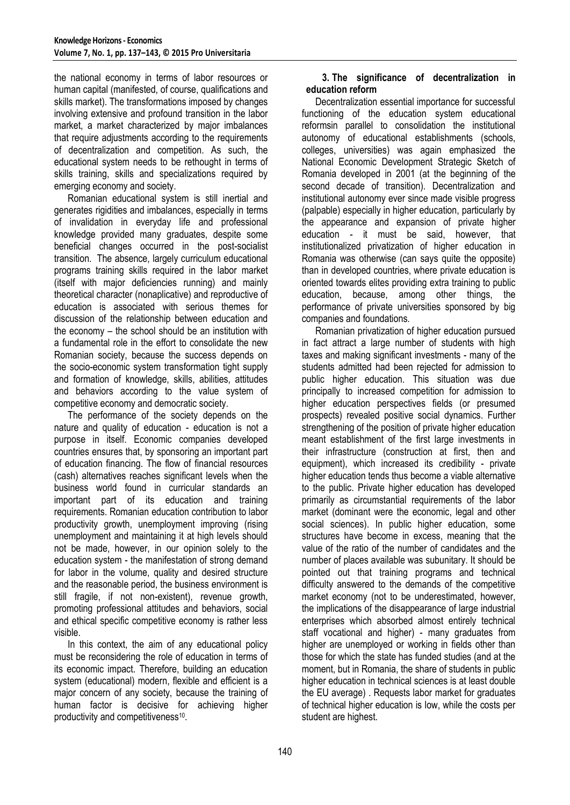the national economy in terms of labor resources or human capital (manifested, of course, qualifications and skills market). The transformations imposed by changes involving extensive and profound transition in the labor market, a market characterized by major imbalances that require adjustments according to the requirements of decentralization and competition. As such, the educational system needs to be rethought in terms of skills training, skills and specializations required by emerging economy and society.

Romanian educational system is still inertial and generates rigidities and imbalances, especially in terms of invalidation in everyday life and professional knowledge provided many graduates, despite some beneficial changes occurred in the post-socialist transition. The absence, largely curriculum educational programs training skills required in the labor market (itself with major deficiencies running) and mainly theoretical character (nonaplicative) and reproductive of education is associated with serious themes for discussion of the relationship between education and the economy – the school should be an institution with a fundamental role in the effort to consolidate the new Romanian society, because the success depends on the socio-economic system transformation tight supply and formation of knowledge, skills, abilities, attitudes and behaviors according to the value system of competitive economy and democratic society.

The performance of the society depends on the nature and quality of education - education is not a purpose in itself. Economic companies developed countries ensures that, by sponsoring an important part of education financing. The flow of financial resources (cash) alternatives reaches significant levels when the business world found in curricular standards an important part of its education and training requirements. Romanian education contribution to labor productivity growth, unemployment improving (rising unemployment and maintaining it at high levels should not be made, however, in our opinion solely to the education system - the manifestation of strong demand for labor in the volume, quality and desired structure and the reasonable period, the business environment is still fragile, if not non-existent), revenue growth, promoting professional attitudes and behaviors, social and ethical specific competitive economy is rather less visible.

In this context, the aim of any educational policy must be reconsidering the role of education in terms of its economic impact. Therefore, building an education system (educational) modern, flexible and efficient is a major concern of any society, because the training of human factor is decisive for achieving higher productivity and competitiveness<sup>10</sup>.

## **3. The significance of decentralization in education reform**

Decentralization essential importance for successful functioning of the education system educational reformsin parallel to consolidation the institutional autonomy of educational establishments (schools, colleges, universities) was again emphasized the National Economic Development Strategic Sketch of Romania developed in 2001 (at the beginning of the second decade of transition). Decentralization and institutional autonomy ever since made visible progress (palpable) especially in higher education, particularly by the appearance and expansion of private higher education - it must be said, however, that institutionalized privatization of higher education in Romania was otherwise (can says quite the opposite) than in developed countries, where private education is oriented towards elites providing extra training to public education, because, among other things, the performance of private universities sponsored by big companies and foundations.

Romanian privatization of higher education pursued in fact attract a large number of students with high taxes and making significant investments - many of the students admitted had been rejected for admission to public higher education. This situation was due principally to increased competition for admission to higher education perspectives fields (or presumed prospects) revealed positive social dynamics. Further strengthening of the position of private higher education meant establishment of the first large investments in their infrastructure (construction at first, then and equipment), which increased its credibility - private higher education tends thus become a viable alternative to the public. Private higher education has developed primarily as circumstantial requirements of the labor market (dominant were the economic, legal and other social sciences). In public higher education, some structures have become in excess, meaning that the value of the ratio of the number of candidates and the number of places available was subunitary. It should be pointed out that training programs and technical difficulty answered to the demands of the competitive market economy (not to be underestimated, however, the implications of the disappearance of large industrial enterprises which absorbed almost entirely technical staff vocational and higher) - many graduates from higher are unemployed or working in fields other than those for which the state has funded studies (and at the moment, but in Romania, the share of students in public higher education in technical sciences is at least double the EU average) . Requests labor market for graduates of technical higher education is low, while the costs per student are highest.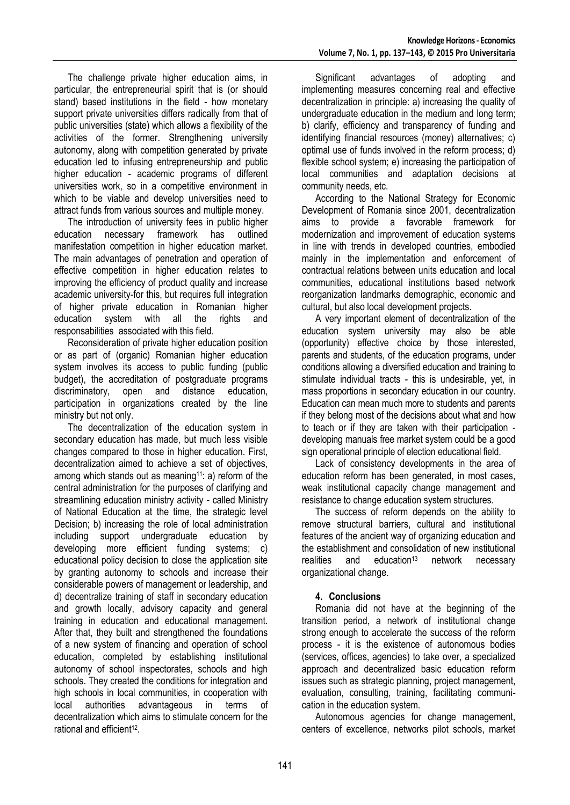The challenge private higher education aims, in particular, the entrepreneurial spirit that is (or should stand) based institutions in the field - how monetary support private universities differs radically from that of public universities (state) which allows a flexibility of the activities of the former. Strengthening university autonomy, along with competition generated by private education led to infusing entrepreneurship and public higher education - academic programs of different universities work, so in a competitive environment in which to be viable and develop universities need to attract funds from various sources and multiple money.

The introduction of university fees in public higher education necessary framework has outlined manifestation competition in higher education market. The main advantages of penetration and operation of effective competition in higher education relates to improving the efficiency of product quality and increase academic university-for this, but requires full integration of higher private education in Romanian higher education system with all the rights and responsabilities associated with this field.

Reconsideration of private higher education position or as part of (organic) Romanian higher education system involves its access to public funding (public budget), the accreditation of postgraduate programs discriminatory, open and distance education, participation in organizations created by the line ministry but not only.

The decentralization of the education system in secondary education has made, but much less visible changes compared to those in higher education. First, decentralization aimed to achieve a set of objectives, among which stands out as meaning<sup>11</sup>: a) reform of the central administration for the purposes of clarifying and streamlining education ministry activity - called Ministry of National Education at the time, the strategic level Decision; b) increasing the role of local administration including support undergraduate education by developing more efficient funding systems; c) educational policy decision to close the application site by granting autonomy to schools and increase their considerable powers of management or leadership, and d) decentralize training of staff in secondary education and growth locally, advisory capacity and general training in education and educational management. After that, they built and strengthened the foundations of a new system of financing and operation of school education, completed by establishing institutional autonomy of school inspectorates, schools and high schools. They created the conditions for integration and high schools in local communities, in cooperation with local authorities advantageous in terms of decentralization which aims to stimulate concern for the rational and efficient<sup>12</sup>.

Significant advantages of adopting and implementing measures concerning real and effective decentralization in principle: a) increasing the quality of undergraduate education in the medium and long term; b) clarify, efficiency and transparency of funding and identifying financial resources (money) alternatives; c) optimal use of funds involved in the reform process; d) flexible school system; e) increasing the participation of local communities and adaptation decisions at community needs, etc.

According to the National Strategy for Economic Development of Romania since 2001, decentralization aims to provide a favorable framework for modernization and improvement of education systems in line with trends in developed countries, embodied mainly in the implementation and enforcement of contractual relations between units education and local communities, educational institutions based network reorganization landmarks demographic, economic and cultural, but also local development projects.

A very important element of decentralization of the education system university may also be able (opportunity) effective choice by those interested, parents and students, of the education programs, under conditions allowing a diversified education and training to stimulate individual tracts - this is undesirable, yet, in mass proportions in secondary education in our country. Education can mean much more to students and parents if they belong most of the decisions about what and how to teach or if they are taken with their participation developing manuals free market system could be a good sign operational principle of election educational field.

Lack of consistency developments in the area of education reform has been generated, in most cases, weak institutional capacity change management and resistance to change education system structures.

The success of reform depends on the ability to remove structural barriers, cultural and institutional features of the ancient way of organizing education and the establishment and consolidation of new institutional realities and education<sup>13</sup> network necessary organizational change.

## **4. Conclusions**

Romania did not have at the beginning of the transition period, a network of institutional change strong enough to accelerate the success of the reform process - it is the existence of autonomous bodies (services, offices, agencies) to take over, a specialized approach and decentralized basic education reform issues such as strategic planning, project management, evaluation, consulting, training, facilitating communication in the education system.

Autonomous agencies for change management, centers of excellence, networks pilot schools, market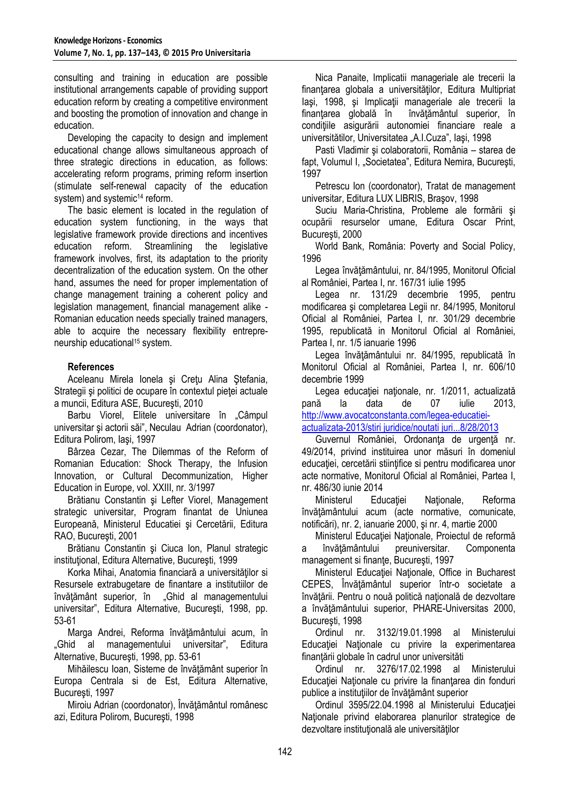consulting and training in education are possible institutional arrangements capable of providing support education reform by creating a competitive environment and boosting the promotion of innovation and change in education.

Developing the capacity to design and implement educational change allows simultaneous approach of three strategic directions in education, as follows: accelerating reform programs, priming reform insertion (stimulate self-renewal capacity of the education system) and systemic<sup>14</sup> reform.

The basic element is located in the regulation of education system functioning, in the ways that legislative framework provide directions and incentives education reform. Streamlining the legislative framework involves, first, its adaptation to the priority decentralization of the education system. On the other hand, assumes the need for proper implementation of change management training a coherent policy and legislation management, financial management alike - Romanian education needs specially trained managers, able to acquire the necessary flexibility entrepreneurship educational<sup>15</sup> system.

### **References**

Aceleanu Mirela Ionela şi Creţu Alina Ştefania, Strategii şi politici de ocupare în contextul pieţei actuale a muncii, Editura ASE, Bucureşti, 2010

Barbu Viorel, Elitele universitare în "Câmpul universitar şi actorii săi", Neculau Adrian (coordonator), Editura Polirom, Iaşi, 1997

Bârzea Cezar, The Dilemmas of the Reform of Romanian Education: Shock Therapy, the Infusion Innovation, or Cultural Decommunization, Higher Education in Europe, vol. XXIII, nr. 3/1997

Brătianu Constantin şi Lefter Viorel, Management strategic universitar, Program finantat de Uniunea Europeană, Ministerul Educatiei şi Cercetării, Editura RAO, Bucureşti, 2001

Brătianu Constantin şi Ciuca Ion, Planul strategic institutional, Editura Alternative, București, 1999

Korka Mihai, Anatomia financiară a universităților si Resursele extrabugetare de finantare a institutiilor de învăţământ superior, în "Ghid al managementului universitar", Editura Alternative, Bucureşti, 1998, pp. 53-61

Marga Andrei, Reforma învăţământului acum, în "Ghid al managementului universitar", Editura Alternative, Bucureşti, 1998, pp. 53-61

Mihăilescu Ioan, Sisteme de învăţământ superior în Europa Centrala si de Est, Editura Alternative, Bucureşti, 1997

Miroiu Adrian (coordonator), Învăţământul românesc azi, Editura Polirom, Bucureşti, 1998

Nica Panaite, Implicatii manageriale ale trecerii la finanţarea globala a universităţilor, Editura Multipriat Iaşi, 1998, şi Implicaţii manageriale ale trecerii la finanţarea globală în învăţământul superior, în condițiile asigurării autonomiei financiare reale a universitătilor, Universitatea "A.I.Cuza", Iași, 1998

Pasti Vladimir şi colaboratorii, România – starea de fapt, Volumul I, "Societatea", Editura Nemira, București, 1997

Petrescu Ion (coordonator), Tratat de management universitar, Editura LUX LIBRIS, Braşov, 1998

Suciu Maria-Christina, Probleme ale formării şi ocupării resurselor umane, Editura Oscar Print, Bucureşti, 2000

World Bank, România: Poverty and Social Policy, 1996

Legea învătământului, nr. 84/1995, Monitorul Oficial al României, Partea I, nr. 167/31 iulie 1995

Legea nr. 131/29 decembrie 1995, pentru modificarea şi completarea Legii nr. 84/1995, Monitorul Oficial al României, Partea I, nr. 301/29 decembrie 1995, republicată in Monitorul Oficial al României, Partea I, nr. 1/5 ianuarie 1996

Legea învățământului nr. 84/1995, republicată în Monitorul Oficial al României, Partea I, nr. 606/10 decembrie 1999

Legea educației naționale, nr. 1/2011, actualizată pană la data de 07 iulie 2013, [http://www.avocatconstanta.com/legea-educatiei](http://www.avocatconstanta.com/legea-educatiei-actualizata-2013/stiri%20juridice/noutati%20juri...8/28/2013)[actualizata-2013/stiri juridice/noutati juri...8/28/2013](http://www.avocatconstanta.com/legea-educatiei-actualizata-2013/stiri%20juridice/noutati%20juri...8/28/2013)

Guvernul României, Ordonanţa de urgenţă nr. 49/2014, privind instituirea unor măsuri în domeniul educaţiei, cercetării stiinţifice si pentru modificarea unor acte normative, Monitorul Oficial al României, Partea I, nr. 486/30 iunie 2014

Ministerul Educatiei Nationale, Reforma învățământului acum (acte normative, comunicate, notificări), nr. 2, ianuarie 2000, şi nr. 4, martie 2000

Ministerul Educaţiei Naţionale, Proiectul de reformă a învăţământului preuniversitar. Componenta management si finante, București, 1997

Ministerul Educatiei Nationale, Office in Bucharest CEPES, Învățământul superior într-o societate a învăţării. Pentru o nouă politică naţională de dezvoltare a învățământului superior, PHARE-Universitas 2000, Bucureşti, 1998

Ordinul nr. 3132/19.01.1998 al Ministerului Educatiei Nationale cu privire la experimentarea finanţării globale în cadrul unor universităti

Ordinul nr. 3276/17.02.1998 al Ministerului Educaţiei Naţionale cu privire la finanţarea din fonduri publice a instituţiilor de învăţământ superior

Ordinul 3595/22.04.1998 al Ministerului Educației Nationale privind elaborarea planurilor strategice de dezvoltare instituțională ale universităților